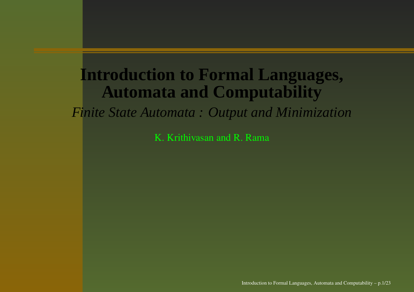#### **Introduction to Formal Languages, Automata and Computability**

*Finite State Automata : Output and Minimization*

K. Krithivasan and R. Rama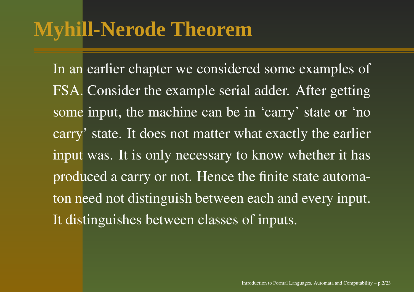# **Myhill-Nerode Theorem**

In an earlier chapter we considered some examples of FSA. Consider the example serial adder. After getting some input, the machine can be in 'carry' state or 'no carry' state. It does not matter what exactly the earlier input was. It is only necessary to know whether it has produced <sup>a</sup> carry or not. Hence the finite state automaton need not distinguish between each and every input. It distinguishes between classes of inputs.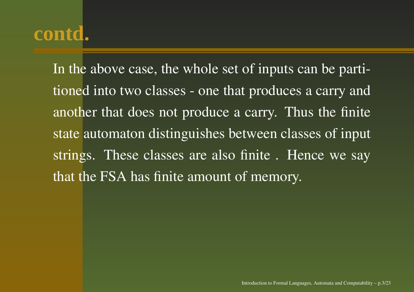In the above case, the whole set of inputs can be partitioned into two classes - one that produces <sup>a</sup> carry and another that does not produce <sup>a</sup> carry. Thus the finite state automaton distinguishes between classes of input strings. These classes are also finite . Hence we say that the FSA has finite amount of memory.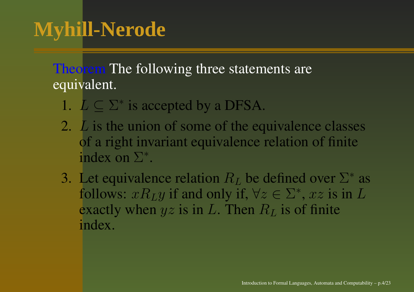Theorem The following three statements are equivalent.

- 1.  $L \subseteq \Sigma^*$  is accepted by a DFSA.
- 2.  $L$  is the union of some of the equivalence classes of a right invariant equivalence relation of finite index on Σ<sup>∗</sup>.
- 3. Let equivalence relation  $R_L$  be defined over  $\Sigma^*$  as follows:  $xR_Ly$  if and only if,  $\forall z \in \Sigma^*$ ,  $xz$  is in L exactly when  $yz$  is in L. Then  $R_L$  is of finite index.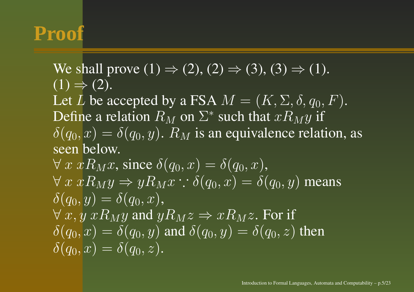# **Proof**

We shall prove  $(1) \Rightarrow (2), (2) \Rightarrow (3), (3) \Rightarrow (1)$ .  $(1) \Rightarrow (2).$ Let  $L$  be accepted by a FSA  $M = (K,\Sigma,\delta,q_0,F).$ Define a relation  $R_M$  on  $\Sigma^*$  such that  $xR_My$  if  $\delta(q_0, x) = \delta(q_0, y)$ .  $R_M$  is an equivalence relation, as seen below.  $\forall x \ x R_M x$ , since  $\delta(q_0, x) = \delta(q_0, x)$ ,  $\forall x \ x R_M y \Rightarrow y R_M x : \delta(q_0, x) = \delta(q_0, y)$  means  $\delta(q_0, y) = \delta(q_0, x),$  $\forall x, y \ x R_M y$  and  $y R_M z \Rightarrow x R_M z$ . For if  $\delta(q_0, x) = \delta(q_0, y)$  and  $\delta(q_0, y) = \delta(q_0, z)$  then  $\delta(q_0, x) = \delta(q_0, z).$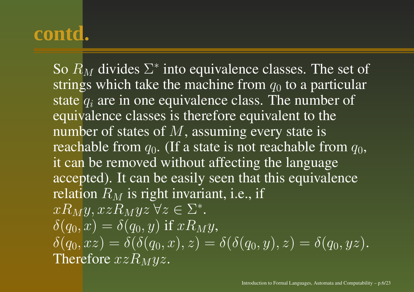So  $R_M$  divides  $\Sigma^*$  into equivalence classes. The set of strings which take the machine from  $q_0$  to a particular state  $q_i$  are in one equivalence class. The number of equivalence classes is therefore equivalent to the number of states of  $M,$  assuming every state is reachable from  $q_0.$  (If a state is not reachable from  $q_0,$ it can be removed without affecting the language accepted). It can be easily seen that this equivalence relation  $R_M$  is right invariant, i.e., if  $xR_My$ ,  $xzR_Myz \,\forall z \in \Sigma^*$ .  $\delta(q_0, x) = \delta(q_0, y)$  if  $xR_My$ ,  $\delta(q_0, xz) = \delta(\delta(q_0, x), z) = \delta(\delta(q_0, y), z) = \delta(q_0, yz).$ Therefore  $xzR_Myz.$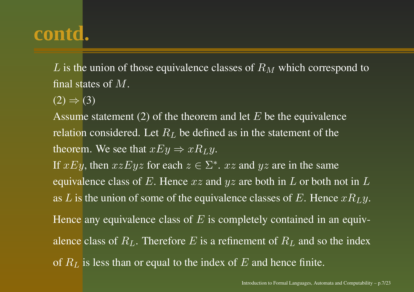$L$  is the union of those equivalence classes of  $R_M$  which correspond to final states of  $M.$ 

 $(2) \Rightarrow (3)$ 

Assume statement (2) of the theorem and let  $E$  be the equivalence relation considered. Let  $R_L$  be defined as in the statement of the theorem. We see that  $xEy \Rightarrow xR_Ly.$ 

If  $xEy$ , then  $xzEyz$  for each  $z \in \Sigma^*$ .  $xz$  and  $yz$  are in the same equivalence class of E. Hence  $xz$  and  $yz$  are both in L or both not in L as  $L$  is the union of some of the equivalence classes of  $E.$  Hence  $xR_{L}y.$ Hence any equivalence class of  $E$  is completely contained in an equiv-

alence class of  $R_L$ . Therefore  $E$  is a refinement of  $R_L$  and so the index

of  $R_L$  is less than or equal to the index of  $E$  and hence finite.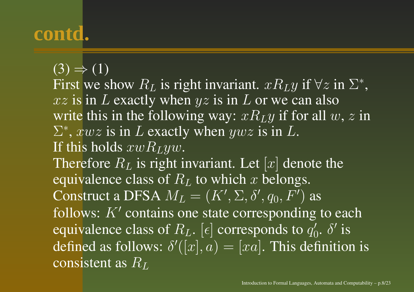$\overline{(3)} \Rightarrow \overline{(1)}$ 

First we show  $R_L$  is right invariant.  $xR_Ly$  if  $\forall z$  in  $\Sigma^*$ ,  $xz$  is in  $L$  exactly when  $yz$  is in  $L$  or we can also write this in the following way:  $xR_Ly$  if for all  $w, z$  in  $\Sigma^*$ ,  $xwz$  is in L exactly when  $ywz$  is in L. If this holds  $xwR_{L}yw.$ Therefore  $R_L$  is right invariant. Let  $[x]$  denote the equivalence class of  $R<sub>L</sub>$  to which x belongs. Construct a DFSA  $M_L = (K', \Sigma, \delta', q_0, F')$  as follows:  $K'$  contains one state corresponding to each equivalence class of  $R_L$ . [ $\epsilon$ ] corresponds to  $q'_0$ .  $\delta'$  is defined as follows:  $\delta'([x], a) = [xa]$ . This definition is consistent as  $R_L$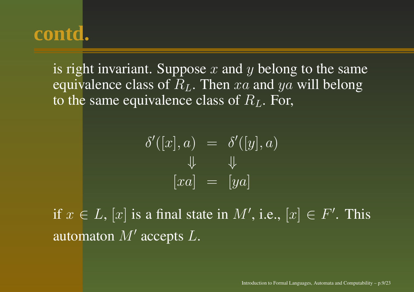is right invariant. Suppose  $x$  and  $y$  belong to the same equivalence class of  $R_L$ . Then  $xa$  and  $ya$  will belong to the same equivalence class of  $R_L$ . For,

$$
\delta'([x], a) = \delta'([y], a)
$$

$$
\downarrow \qquad \downarrow \qquad \downarrow
$$

$$
[xa] = [ya]
$$

if  $x\in L,$   $[x]$  is a final state in  $M',$  i.e.,  $[x]\in F'.$  This automaton  $M'$  accepts  $L.$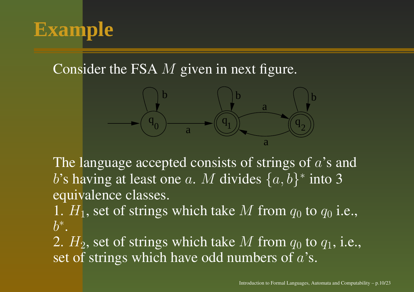

Consider the FSA  $M$  given in next figure.



The language accepted consists of strings of  $a$ 's and  $b$ 's having at least one  $a.$   $M$  divides  $\{a, b\}^*$  into 3 equivalence classes.

1.  $H_1$ , set of strings which take M from  $q_0$  to  $q_0$  i.e.,  $b^*$ .

2.  $H_2$ , set of strings which take M from  $q_0$  to  $q_1$ , i.e., set of strings which have odd numbers of  $a$ 's.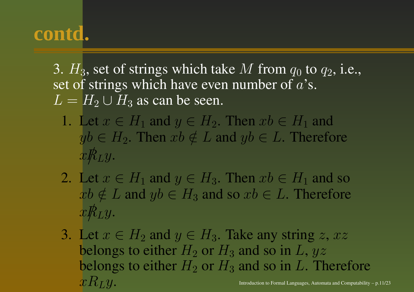3.  $H_3$ , set of strings which take M from  $q_0$  to  $q_2$ , i.e., set of strings which have even number of  $a$ 's.  $L = H_2 \cup H_3$  as can be seen.

- 1. Let  $x \in H_1$  and  $y \in H_2$ . Then  $xb \in H_1$  and  $yb \in H_2$ . Then  $xb \notin L$  and  $yb \in L$ . Therefore  $xR_{L}y.$
- 2. Let  $x \in H_1$  and  $y \in H_3$ . Then  $xb \in H_1$  and so  $xb \notin L$  and  $yb \in H_3$  and so  $xb \in L.$  Therefore  $xR_{L}y.$
- 3. Let  $x \in H_2$  and  $y \in H_3$ . Take any string  $z, xz$ belongs to either  $H_2$  or  $H_3$  and so in L,  $yz$ belongs to either  $H_2$  or  $H_3$  and so in L. Therefore  $xR_Ly$  . Introduction to Formal Languages, Automata and Computability – p.11/23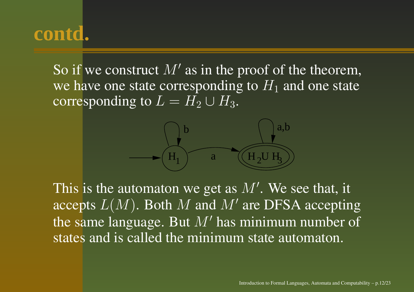So if we construct  $M'$  as in the proof of the theorem, we have one state corresponding to  $H_1$  and one state corresponding to  $L = H_2 \cup H_3$ .



This is the automaton we get as  $M'$ . We see that, it accepts  $L(M)$ . Both M and M' are DFSA accepting the same language. But  $M'$  has minimum number of states and is called the minimum state automaton.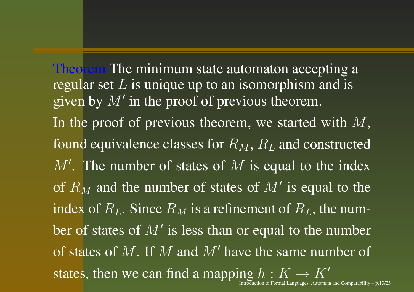Theorem The minimum state automaton accepting a regular set  $\overline{L}$  is unique up to an isomorphism and is given by  $M'$  in the proof of previous theorem. In the proof of previous theorem, we started with  $M,$ found equivalence classes for  $R_M,\,R_L$  and constructed  $M'$ . The number of states of  $M$  is equal to the index of  $R_M$  and the number of states of  $M'$  is equal to the index of  $R_L$ . Since  $R_M$  is a refinement of  $R_L$ , the number of states of  $M'$  is less than or equal to the number of states of M. If M and M' have the same number of states, then we can find a mapping  $h: K \to K'$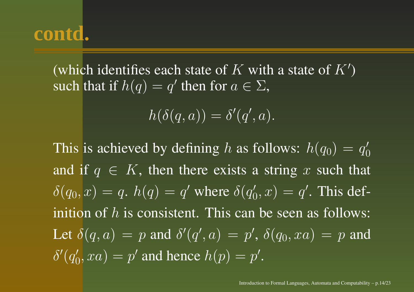(which identifies each state of K with a state of  $K'$ ) such that if  $h(q) = q'$  then for  $a \in \Sigma,$ 

 $h(\delta(q, a)) = \delta'(q', a).$ 

This is achieved by defining  $h$  as follows:  $h(q_0) = q_0'$ and if  $q \in K$ , then there exists a string x such that  $\delta(q_0, \overline{x}) = q$ .  $h(q) = q'$  where  $\delta(q'_0, x) = q'$ . This definition of  $h$  is consistent. This can be seen as follows: Let  $\delta(q,a) = p$  and  $\delta'(q',a) = p',$   $\delta(q_0,xa) = p$  and  $\delta'(q_0', xa) = p'$  and hence  $h(p) = p'.$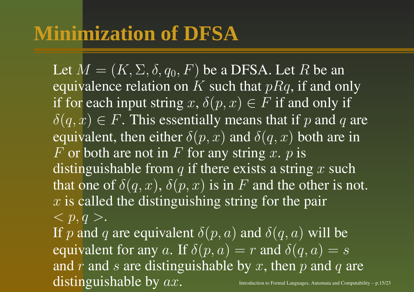Let  $M = (K,\Sigma,\delta,q_0,F)$  be a DFSA. Let  $R$  be an equivalence relation on K such that  $pRq$ , if and only if for each input string  $x, \delta(p, x) \in F$  if and only if  $\delta(q, x) \in F$ . This essentially means that if p and q are equivalent, then either  $\delta(p, x)$  and  $\delta(q, x)$  both are in F or both are not in F for any string x.  $p$  is distinguishable from  $q$  if there exists a string  $x$  such that one of  $\delta(q,x),\,\delta(p,x)$  is in  $F$  and the other is not.  $x$  is called the distinguishing string for the pair  $$ . If  $p$  and  $q$  are equivalent  $\delta(p,a)$  and  $\delta(q,a)$  will be equivalent for any a. If  $\delta(p, a) = r$  and  $\delta(q, a) = s$ and  $r$  and  $s$  are distinguishable by  $x$ , then  $p$  and  $q$  are distinguishable by  $ax.$  Introduction to Formal Languages, Automata and Computability – p.15/23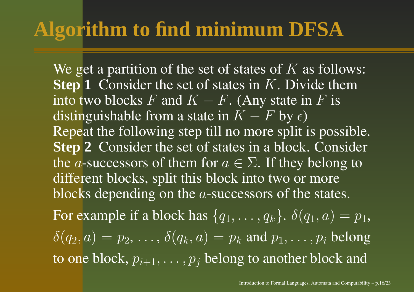# **Algorithm to find minimum DFSA**

We get a partition of the set of states of  $K$  as follows: **Step** 1 Consider the set of states in K. Divide them into two blocks  $F$  and  $K-F.$  (Any state in  $F$  is distinguishable from a state in  $K - F$  by  $\epsilon$ ) Repeat the following step till no more split is possible. **Step 2** Consider the set of states in <sup>a</sup> block. Consider the  $a$ -successors of them for  $a\in\Sigma.$  If they belong to different blocks, split this block into two or more blocks depending on the  $a$ -successors of the states. For example if a block has  $\{q_1,\ldots,q_k\}$ .  $\delta(q_1,a)=p_1,$ 

 $\delta(q_2, a) = p_2, \ldots, \delta(q_k, a) = p_k$  and  $p_1, \ldots, p_i$  belong to one block,  $p_{i+1},\ldots,p_j$  belong to another block and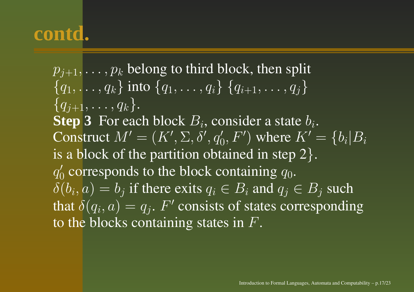$p_{i+1}, \ldots, p_k$  belong to third block, then split  $\{q_1, \ldots, q_k\}$  into  $\{q_1, \ldots, q_i\}$   $\{q_{i+1}, \ldots, q_j\}$  $\{q_{j+1}, \ldots, q_k\}.$ **Step 3** For each block  $B_i$ , consider a state  $b_i$ . Construct  $M' = (K', \Sigma, \delta', q_0', F')$  where  $K' = \{b_i | B_i\}$ is a block of the partition obtained in step  $2$  }.  $q_0^\prime$  corresponds to the block containing  $q_0.$  $\delta(b_i, a) = b_j$  if there exits  $q_i \in B_i$  and  $q_j \in B_j$  such that  $\delta(q_i, a) = q_j$ .  $F'$  consists of states corresponding to the blocks containing states in  $F$ .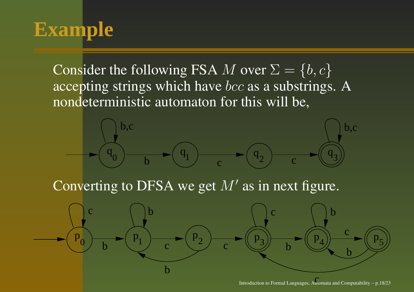# **Example**

Consider the following FSA  $M$  over  $\Sigma = \{b, c\}$ accepting strings which have *bcc* as a substrings. A nondeterministic automaton for this will be,



c Introduction to Formal Languages, Automata and Computability – p.18/23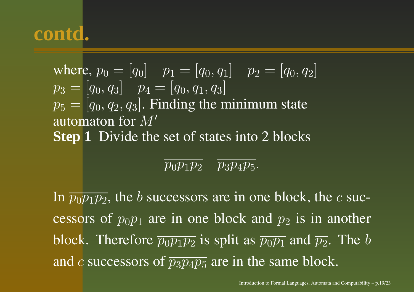where,  $p_0 = [q_0]$   $p_1 = [q_0, q_1]$   $p_2 = [q_0, q_2]$  $p_3 = [q_0, q_3]$   $p_4 = [q_0, q_1, q_3]$  $\overline{p_5}$  =  $\overline{[q_0, q_2, q_3]}$ . Finding the minimum state automaton for  $M^\prime$ **Step 1** Divide the set of states into 2 blocks

#### $\overline{p_0p_1p_2}$   $\overline{p_3p_4p_5}$ .

In  $\overline{p_0p_1p_2}$ , the  $b$  successors are in one block, the  $c$  successors of  $p_0p_1$  are in one block and  $p_2$  is in another block. Therefore  $\overline{p_0p_1p_2}$  is split as  $\overline{p_0p_1}$  and  $\overline{p_2}$ . The b and  $c$  successors of  $\overline{p_3p_4p_5}$  are in the same block.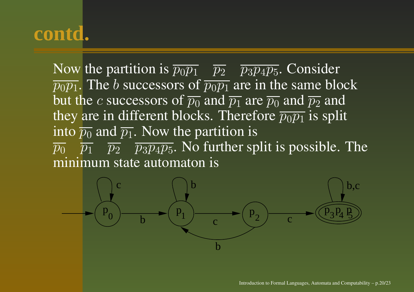Now the partition is  $\overline{p_0p_1}$   $\overline{p_2}$   $\overline{p_3p_4p_5}$ . Consider  $\overline{p_0p_1}$ . The b successors of  $\overline{p_0p_1}$  are in the same block but the  $c$  successors of  $\overline{p_0}$  and  $\overline{p_1}$  are  $\overline{p_0}$  and  $\overline{p_2}$  and they are in different blocks. Therefore  $\overline{p_0p_1}$  is split into  $\overline{p_0}$  and  $\overline{p_1}.$  Now the partition is  $\overline{p_0}$   $\overline{p_1}$   $\overline{p_2}$   $\overline{p_3p_4p_5}$ . No further split is possible. The minimum state automaton is

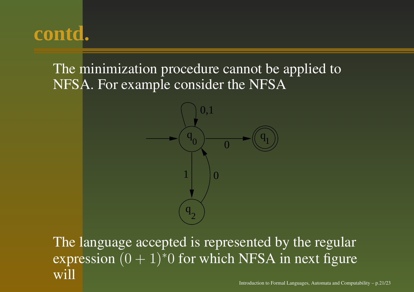The minimization procedure cannot be applied to NFSA. For example consider the NFSA



The language accepted is represented by the regular expression  $(0 + 1)$ <sup>\*</sup>0 for which NFSA in next figure will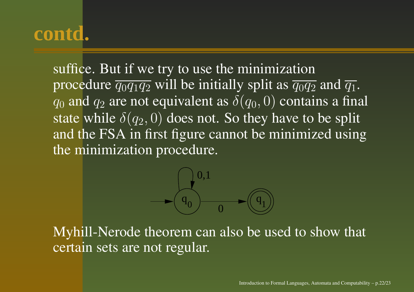suffice. But if we try to use the minimization procedure  $\overline{q_0q_1q_2}$  will be initially split as  $\overline{q_0q_2}$  and  $\overline{q_1}$ .  $q_0$  and  $q_2$  are not equivalent as  $\delta(q_0, 0)$  contains a final state while  $\delta(q_2,0)$  does not. So they have to be split and the FSA in first figure cannot be minimized using the minimization procedure.



Myhill-Nerode theorem can also be used to show that certain sets are not regular.